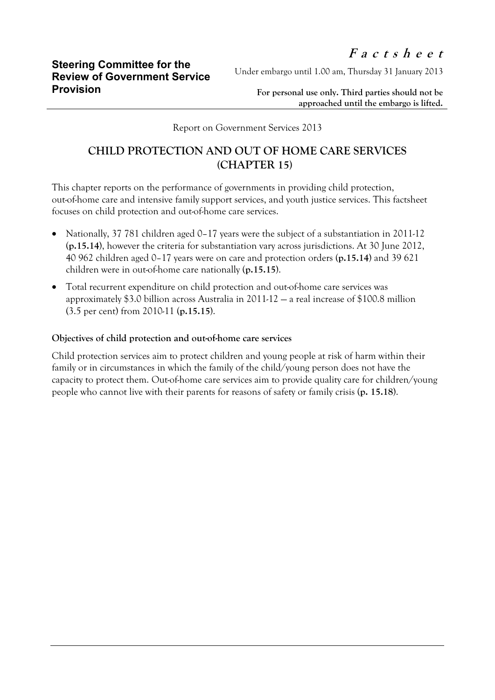Under embargo until 1.00 am, Thursday 31 January 2013

**For personal use only. Third parties should not be approached until the embargo is lifted.**

Report on Government Services 2013

## **CHILD PROTECTION AND OUT OF HOME CARE SERVICES (CHAPTER 15)**

This chapter reports on the performance of governments in providing child protection, out-of-home care and intensive family support services, and youth justice services. This factsheet focuses on child protection and out-of-home care services.

- Nationally, 37 781 children aged 0–17 years were the subject of a substantiation in 2011-12 (**p.15.14**), however the criteria for substantiation vary across jurisdictions. At 30 June 2012, 40 962 children aged 0–17 years were on care and protection orders (**p.15.14**) and 39 621 children were in out-of-home care nationally (**p.15.15**).
- Total recurrent expenditure on child protection and out-of-home care services was approximately \$3.0 billion across Australia in 2011-12 — a real increase of \$100.8 million (3.5 per cent) from 2010-11 (**p.15.15**).

## **Objectives of child protection and out-of-home care services**

Child protection services aim to protect children and young people at risk of harm within their family or in circumstances in which the family of the child/young person does not have the capacity to protect them. Out-of-home care services aim to provide quality care for children/young people who cannot live with their parents for reasons of safety or family crisis (**p. 15.18**).